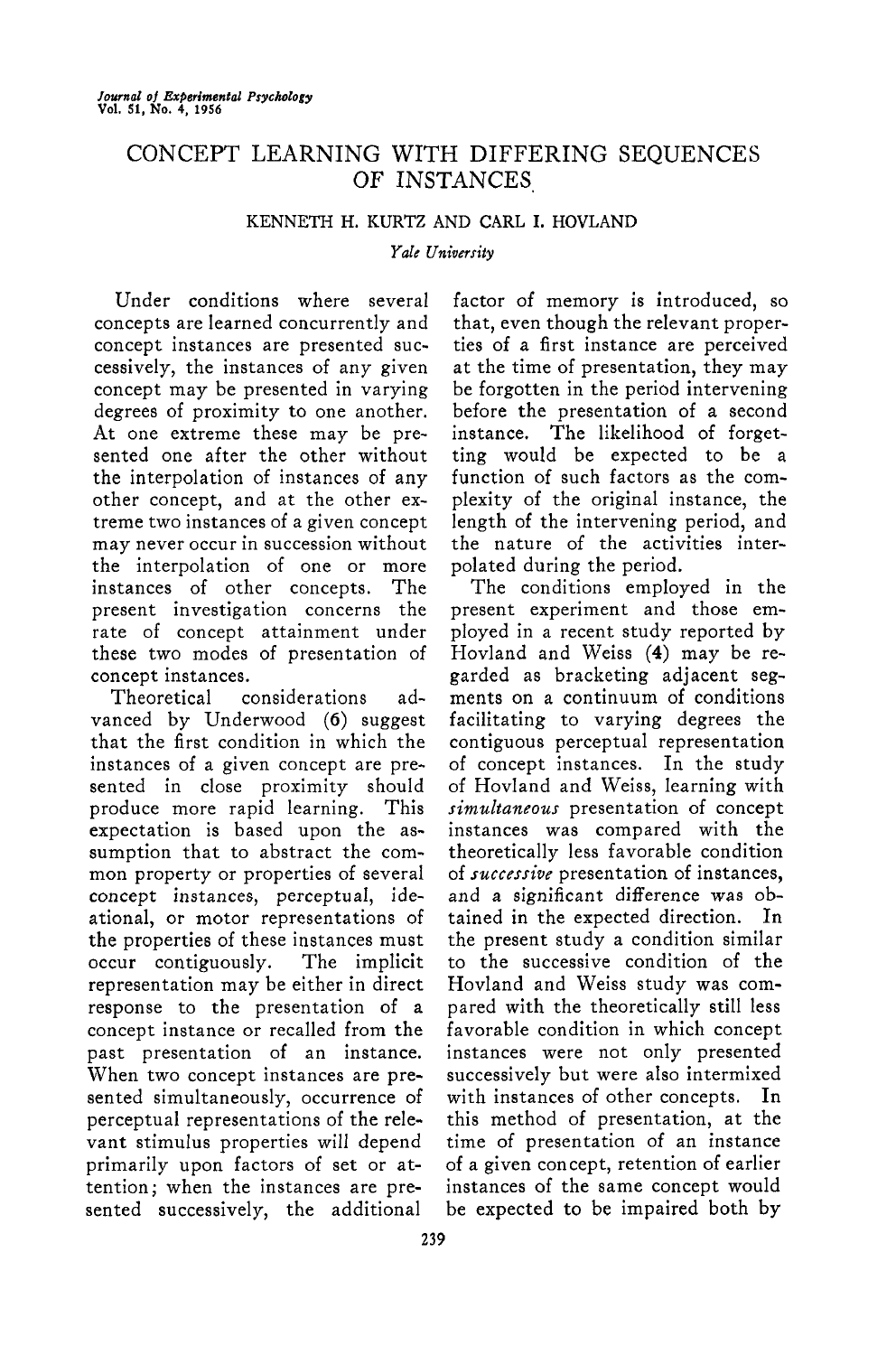# CONCEPT LEARNING WITH DIFFERING SEQUENCES OF INSTANCES

# KENNETH H. KURTZ AND CARL I. HOVLAND

*Yale University*

Under conditions where several concepts are learned concurrently and concept instances are presented successively, the instances of any given concept may be presented in varying degrees of proximity to one another. At one extreme these may be presented one after the other without the interpolation of instances of any other concept, and at the other extreme two instances of a given concept may never occur in succession without the interpolation of one or more instances of other concepts. The present investigation concerns the rate of concept attainment under these two modes of presentation of concept instances.

Theoretical considerations advanced by Underwood (6) suggest that the first condition in which the instances of a given concept are presented in close proximity should produce more rapid learning. This expectation is based upon the assumption that to abstract the common property or properties of several concept instances, perceptual, ideational, or motor representations of the properties of these instances must occur contiguously. The implicit representation may be either in direct response to the presentation of a concept instance or recalled from the past presentation of an instance. When two concept instances are presented simultaneously, occurrence of perceptual representations of the relevant stimulus properties will depend primarily upon factors of set or attention; when the instances are presented successively, the additional

factor of memory is introduced, so that, even though the relevant properties of a first instance are perceived at the time of presentation, they may be forgotten in the period intervening before the presentation of a second instance. The likelihood of forgetting would be expected to be a function of such factors as the complexity of the original instance, the length of the intervening period, and the nature of the activities interpolated during the period.

The conditions employed in the present experiment and those employed in a recent study reported by Hovland and Weiss (4) may be regarded as bracketing adjacent segments on a continuum of conditions facilitating to varying degrees the contiguous perceptual representation of concept instances. In the study of Hovland and Weiss, learning with *simultaneous* presentation of concept instances was compared with the theoretically less favorable condition of *successive* presentation of instances, and a significant difference was obtained in the expected direction. In the present study a condition similar to the successive condition of the Hovland and Weiss study was compared with the theoretically still less favorable condition in which concept instances were not only presented successively but were also intermixed with instances of other concepts. In this method of presentation, at the time of presentation of an instance of a given concept, retention of earlier instances of the same concept would be expected to be impaired both by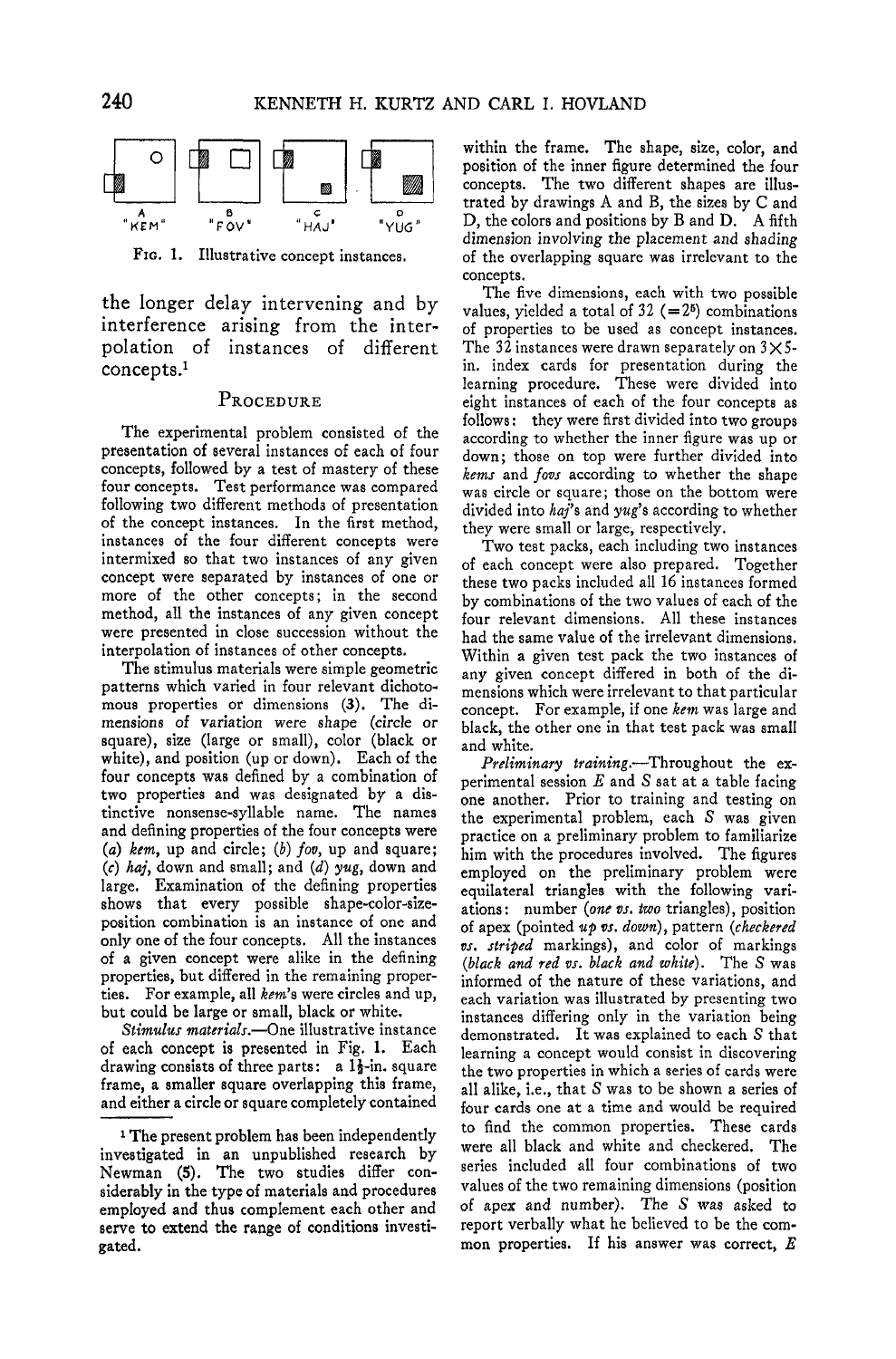

FIG. 1. Illustrative concept instances.

the longer delay intervening and by interference arising from the interpolation of instances of different concepts.<sup>1</sup>

### PROCEDURE

The experimental problem consisted of the presentation of several instances of each of four concepts, followed by a test of mastery of these four concepts. Test performance was compared following two different methods of presentation of the concept instances. In the first method, instances of the four different concepts were intermixed so that two instances of any given concept were separated by instances of one or more of the other concepts; in the second method, all the instances of any given concept were presented in close succession without the interpolation of instances of other concepts.

The stimulus materials were simple geometric patterns which varied in four relevant dichotomous properties or dimensions (3). The dimensions of variation were shape (circle or square), size (large or small), color (black or white), and position (up or down). Each of the four concepts was defined by a combination of two properties and was designated by a distinctive nonsense-syllable name. The names and defining properties of the four concepts were (a) kem, up and circle; (b) fov, up and square; *(c) haj,* down and small; and *(d) yug,* down and large. Examination of the defining properties shows that every possible shape-color-sizeposition combination is an instance of one and only one of the four concepts. All the instances of a given concept were alike in the defining properties, but differed in the remaining properties. For example, all *kern's* were circles and up, but could be large or small, black or white.

*Stimulus materials.*—One illustrative instance of each concept is presented in Fig. 1. Each drawing consists of three parts: a  $1\frac{1}{2}$ -in. square frame, a smaller square overlapping this frame, and either a circle or square completely contained within the frame. The shape, size, color, and position of the inner figure determined the four concepts. The two different shapes are illustrated by drawings A and B, the sizes by C and D, the colors and positions by B and D. A fifth dimension involving the placement and shading of the overlapping square was irrelevant to the concepts.

The five dimensions, each with two possible values, yielded a total of  $32$  (= $2<sup>6</sup>$ ) combinations of properties to be used as concept instances. The 32 instances were drawn separately on  $3 \times 5$ in. index cards for presentation during the learning procedure. These were divided into eight instances of each of the four concepts as follows: they were first divided into two groups according to whether the inner figure was up or down; those on top were further divided into *kerns* and *fovs* according to whether the shape was circle or square; those on the bottom were divided into *haj*'s and yug's according to whether they were small or large, respectively.

Two test packs, each including two instances of each concept were also prepared. Together these two packs included all 16 instances formed by combinations of the two values of each of the four relevant dimensions. All these instances had the same value of the irrelevant dimensions. Within a given test pack the two instances of any given concept differed in both of the dimensions which were irrelevant to that particular concept. For example, if one *kem* was large and black, the other one in that test pack was small and white.

*Preliminary training.*—Throughout the experimental session *E* and S sat at a table facing one another. Prior to training and testing on the experimental problem, each S was given practice on a preliminary problem to familiarize him with the procedures involved. The figures employed on the preliminary problem were equilateral triangles with the following variations: number *(one vs. two* triangles), position of apex (pointed *up vs. down),* pattern *(checkered vs. striped* markings), and color of markings *(black and red vs. black and white).* The S was informed of the nature of these variations, and each variation was illustrated by presenting two instances differing only in the variation being demonstrated. It was explained to each S that learning a concept would consist in discovering the two properties in which a series of cards were all alike, i.e., that S was to be shown a series of four cards one at a time and would be required to find the common properties. These cards were all black and white and checkered. The series included all four combinations of two values of the two remaining dimensions (position of apex and number). The S was asked to report verbally what he believed to be the common properties. If his answer was correct, *E*

<sup>1</sup> The present problem has been independently investigated in an unpublished research by Newman (5). The two studies differ considerably in the type of materials and procedures employed and thus complement each other and serve to extend the range of conditions investigated.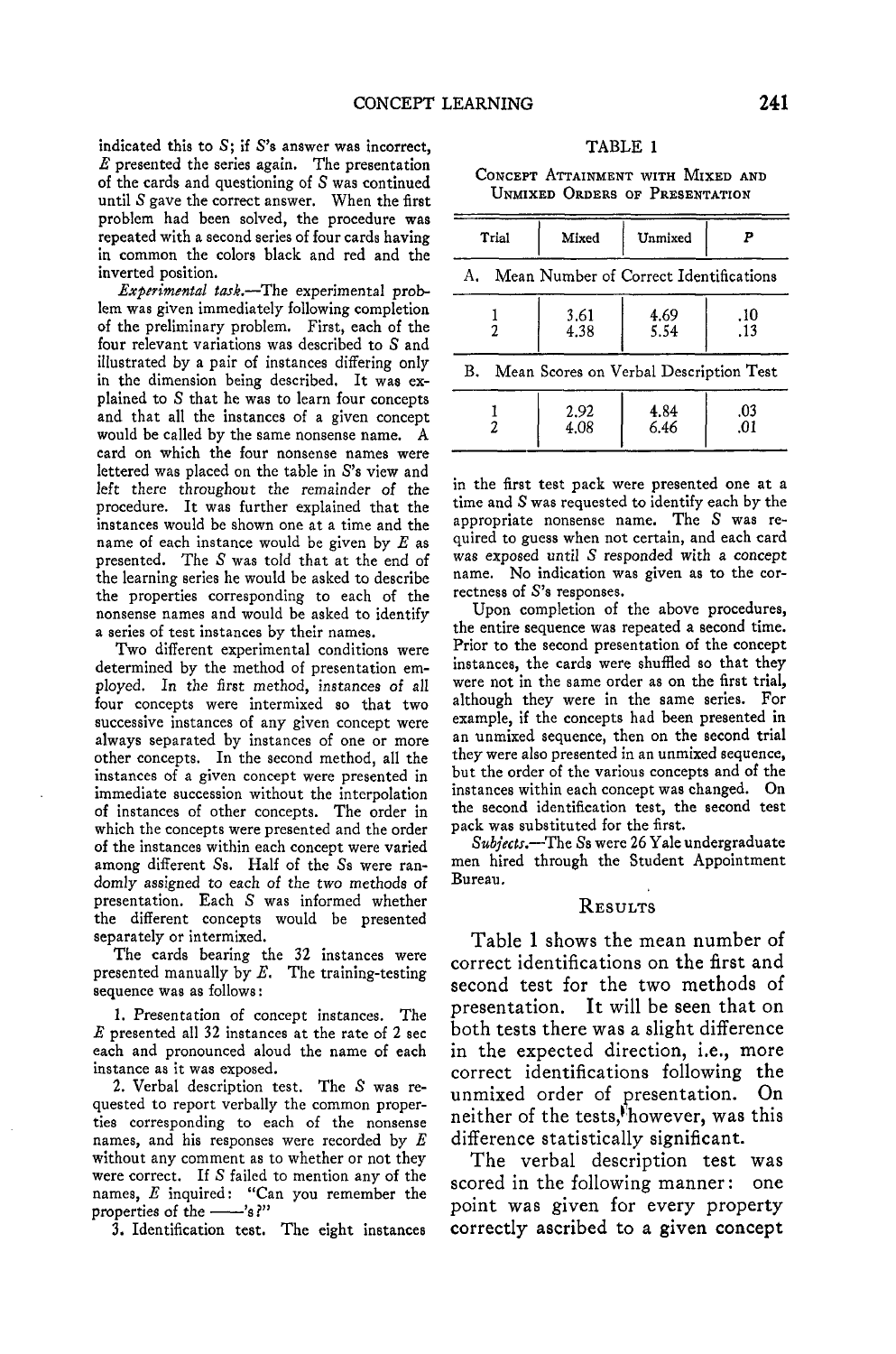indicated this to  $S$ ; if  $S$ 's answer was incorrect, *E* presented the series again. The presentation of the cards and questioning of S was continued until S gave the correct answer. When the first problem had been solved, the procedure was repeated with a second series of four cards having in common the colors black and red and the inverted position.

*Experimental task.*—The experimental problem was given immediately following completion of the preliminary problem. First, each of the four relevant variations was described to S and illustrated by a pair of instances differing only in the dimension being described. It was explained to S that he was to learn four concepts and that all the instances of a given concept would be called by the same nonsense name. A card on which the four nonsense names were lettered was placed on the table in S's view and left there throughout the remainder of the procedure. It was further explained that the instances would be shown one at a time and the name of each instance would be given by *E* as presented. The S was told that at the end of the learning series he would be asked to describe the properties corresponding to each of the nonsense names and would be asked to identify a series of test instances by their names.

Two different experimental conditions were determined by the method of presentation employed. In the first method, instances of all four concepts were intermixed so that two successive instances of any given concept were always separated by instances of one or more other concepts. In the second method, all the instances of a given concept were presented in immediate succession without the interpolation of instances of other concepts. The order in which the concepts were presented and the order of the instances within each concept were varied among different Ss. Half of the Ss were randomly assigned to each of the two methods of presentation. Each S was informed whether the different concepts would be presented separately or intermixed.

The cards bearing the 32 instances were presented manually by *E.* The training-testing sequence was as follows:

1. Presentation of concept instances. The *E* presented all 32 instances at the rate of 2 sec each and pronounced aloud the name of each instance as it was exposed.

2. Verbal description test. The S was requested to report verbally the common properties corresponding to each of the nonsense names, and his responses were recorded by *E* without any comment as to whether or not they were correct. If S failed to mention any of the names, *E* inquired: "Can you remember the properties of the -'s?"

3. Identification test. The eight instances

#### TABLE 1

CONCEPT ATTAINMENT WITH MIXED AND UNMIXED ORDERS OF PRESENTATION

| Trial                                        | Mixed        | Unmixed      | Р          |
|----------------------------------------------|--------------|--------------|------------|
| Mean Number of Correct Identifications<br>А. |              |              |            |
|                                              | 3.61<br>4.38 | 4.69<br>5.54 | .10<br>.13 |
| Mean Scores on Verbal Description Test<br>B. |              |              |            |
|                                              | 2.92<br>4.08 | 4.84<br>6.46 | .03<br>.01 |

in the first test pack were presented one at a time and S was requested to identify each by the appropriate nonsense name. The S was required to guess when not certain, and each card was exposed until S responded with a concept name. No indication was given as to the correctness of S's responses.

Upon completion of the above procedures, the entire sequence was repeated a second time. Prior to the second presentation of the concept instances, the cards were shuffled so that they were not in the same order as on the first trial, although they were in the same series. For example, if the concepts had been presented in an unmixed sequence, then on the second trial they were also presented in an unmixed sequence, but the order of the various concepts and of the instances within each concept was changed. On the second identification test, the second test pack was substituted for the first.

*Subjects.*—The Ss were 26 Yale undergraduate men hired through the Student Appointment Bureau.

### **RESULTS**

Table 1 shows the mean number of correct identifications on the first and second test for the two methods of presentation. It will be seen that on both tests there was a slight difference in the expected direction, i.e., more correct identifications following the unmixed order of presentation. On neither of the tests,'however, was this difference statistically significant.

The verbal description test was scored in the following manner: one point was given for every property correctly ascribed to a given concept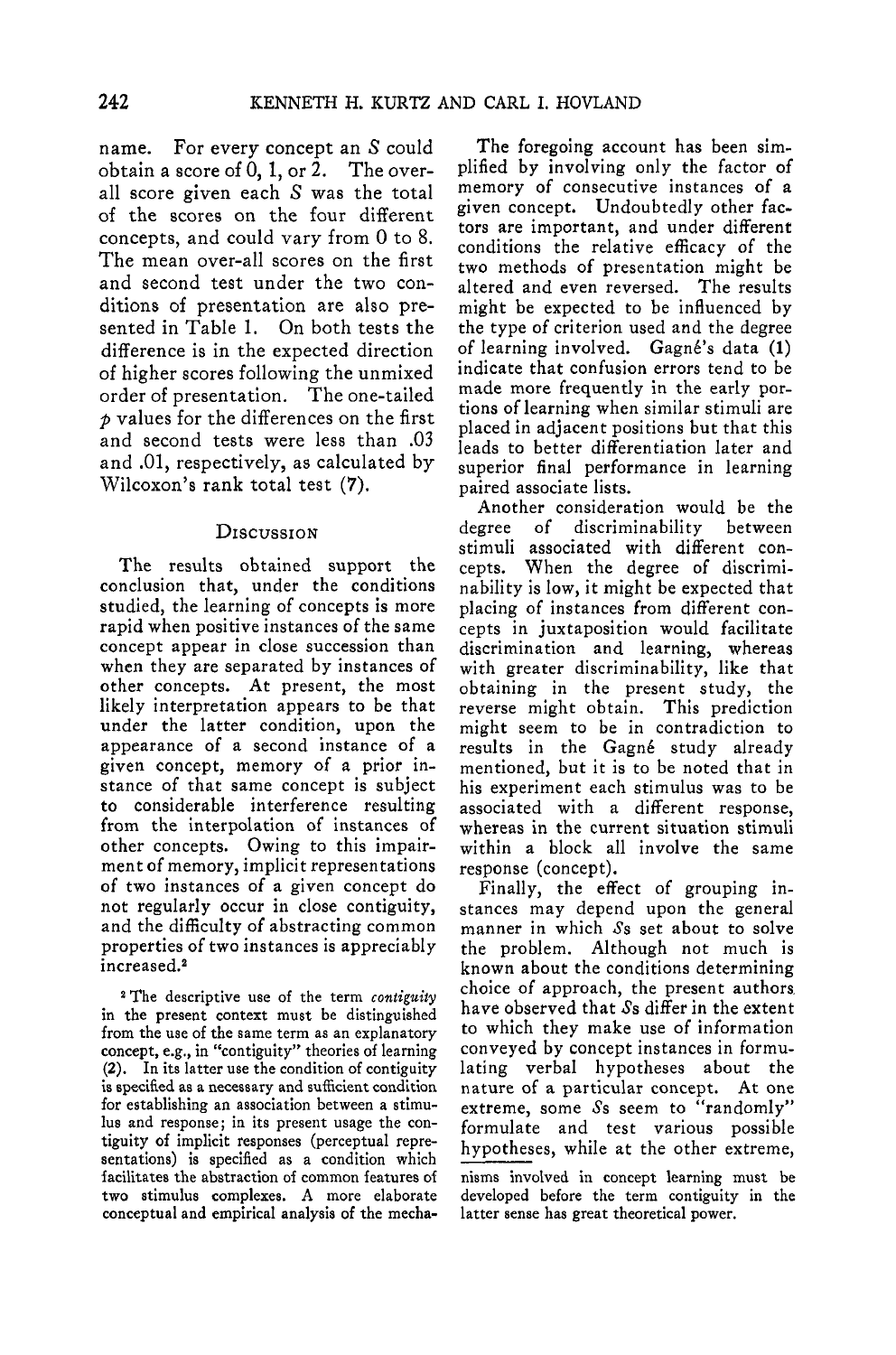name. For every concept an S could obtain a score of  $0, 1$ , or  $2$ . The overall score given each S was the total of the scores on the four different concepts, and could vary from 0 to 8. The mean over-all scores on the first and second test under the two conditions of presentation are also presented in Table 1. On both tests the difference is in the expected direction of higher scores following the unmixed order of presentation. The one-tailed *p* values for the differences on the first and second tests were less than .03 and .01, respectively, as calculated by Wilcoxon's rank total test (7).

## **DISCUSSION**

The results obtained support the conclusion that, under the conditions studied, the learning of concepts is more rapid when positive instances of the same concept appear in close succession than when they are separated by instances of other concepts. At present, the most likely interpretation appears to be that under the latter condition, upon the appearance of a second instance of a given concept, memory of a prior instance of that same concept is subject to considerable interference resulting from the interpolation of instances of other concepts. Owing to this impairment of memory, implicit representations of two instances of a given concept do not regularly occur in close contiguity, and the difficulty of abstracting common properties of two instances is appreciably increased.<sup>2</sup>

2 The descriptive use of the term *contiguity* in the present context must be distinguished from the use of the same term as an explanatory concept, e.g., in "contiguity" theories of learning (2). In its latter use the condition of contiguity is specified as a necessary and sufficient condition for establishing an association between a stimulus and response; in its present usage the contiguity of implicit responses (perceptual representations) is specified as a condition which facilitates the abstraction of common features of two stimulus complexes. A more elaborate conceptual and empirical analysis of the mecha-

The foregoing account has been simplified by involving only the factor of memory of consecutive instances of a given concept. Undoubtedly other factors are important, and under different conditions the relative efficacy of the two methods of presentation might be altered and even reversed. The results might be expected to be influenced by the type of criterion used and the degree of learning involved. Gagn6's data (1) indicate that confusion errors tend to be made more frequently in the early portions of learning when similar stimuli are placed in adjacent positions but that this leads to better differentiation later and superior final performance in learning paired associate lists.

Another consideration would be the degree of discriminability between stimuli associated with different concepts. When the degree of discriminability is low, it might be expected that placing of instances from different concepts in juxtaposition would facilitate discrimination and learning, whereas with greater discriminability, like that obtaining in the present study, the reverse might obtain. This prediction might seem to be in contradiction to results in the Gagné study already mentioned, but it is to be noted that in his experiment each stimulus was to be associated with a different response, whereas in the current situation stimuli within a block all involve the same response (concept).

Finally, the effect of grouping instances may depend upon the general manner in which Ss set about to solve the problem. Although not much is known about the conditions determining choice of approach, the present authors have observed that Ss differ in the extent to which they make use of information conveyed by concept instances in formulating verbal hypotheses about the nature of a particular concept. At one extreme, some  $\mathcal{S}s$  seem to "randomly" formulate and test various possible hypotheses, while at the other extreme,

nisms involved in concept learning must be developed before the term contiguity in the latter sense has great theoretical power.